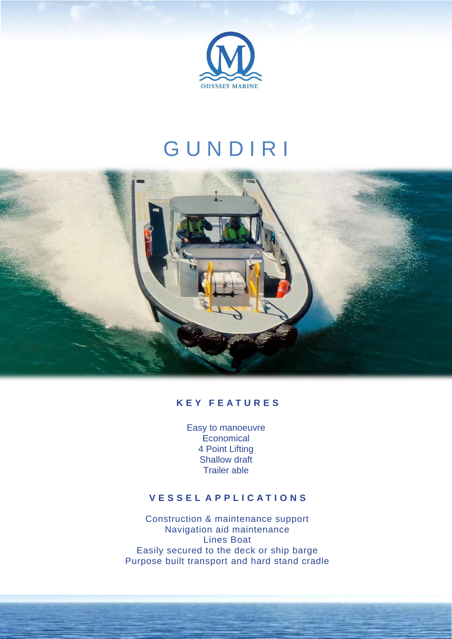

## G U N D I R I



## **K E Y F E A T U R E S**

Easy to manoeuvre **Economical** 4 Point Lifting Shallow draft Trailer able

## **V E S S E L A P P L I C A T I O N S**

Construction & maintenance support Navigation aid maintenance Lines Boat Easily secured to the deck or ship barge Purpose built transport and hard stand cradle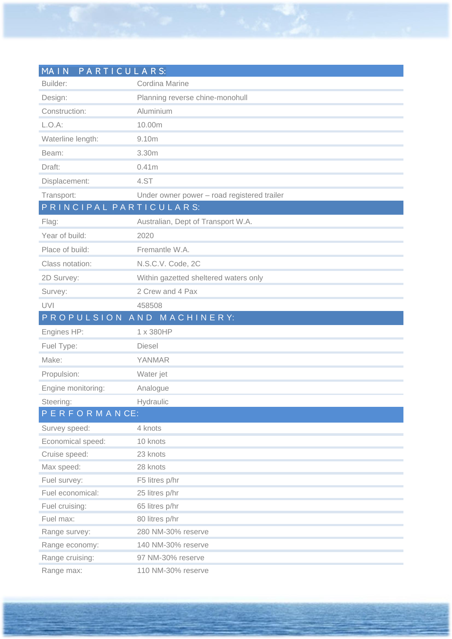| <b>MAIN</b><br>PARTICULARS: |                                             |
|-----------------------------|---------------------------------------------|
| Builder:                    | Cordina Marine                              |
| Design:                     | Planning reverse chine-monohull             |
| Construction:               | Aluminium                                   |
| $L.O.A$ :                   | 10.00m                                      |
| Waterline length:           | 9.10m                                       |
| Beam:                       | 3.30m                                       |
| Draft:                      | 0.41m                                       |
| Displacement:               | 4.ST                                        |
| Transport:                  | Under owner power - road registered trailer |
| PRINCIPAL PARTICULARS:      |                                             |
| Flag:                       | Australian, Dept of Transport W.A.          |
| Year of build:              | 2020                                        |
| Place of build:             | Fremantle W.A.                              |
| Class notation:             | N.S.C.V. Code, 2C                           |
| 2D Survey:                  | Within gazetted sheltered waters only       |
| Survey:                     | 2 Crew and 4 Pax                            |
| <b>UVI</b>                  | 458508                                      |
|                             | PROPULSION AND MACHINERY:                   |
| Engines HP:                 | 1 x 380HP                                   |
| Fuel Type:                  | <b>Diesel</b>                               |
| Make:                       | <b>YANMAR</b>                               |
| Propulsion:                 | Water jet                                   |
| Engine monitoring:          | Analogue                                    |
| Steering:                   | Hydraulic                                   |
| PERFORMANCE:                |                                             |
| Survey speed:               | 4 knots                                     |
| Economical speed:           | 10 knots                                    |
| Cruise speed:               | 23 knots                                    |
| Max speed:                  | 28 knots                                    |
| Fuel survey:                | F5 litres p/hr                              |
| Fuel economical:            | 25 litres p/hr                              |
| Fuel cruising:              | 65 litres p/hr                              |
| Fuel max:                   | 80 litres p/hr                              |
| Range survey:               | 280 NM-30% reserve                          |
| Range economy:              | 140 NM-30% reserve                          |
| Range cruising:             | 97 NM-30% reserve                           |
| Range max:                  | 110 NM-30% reserve                          |